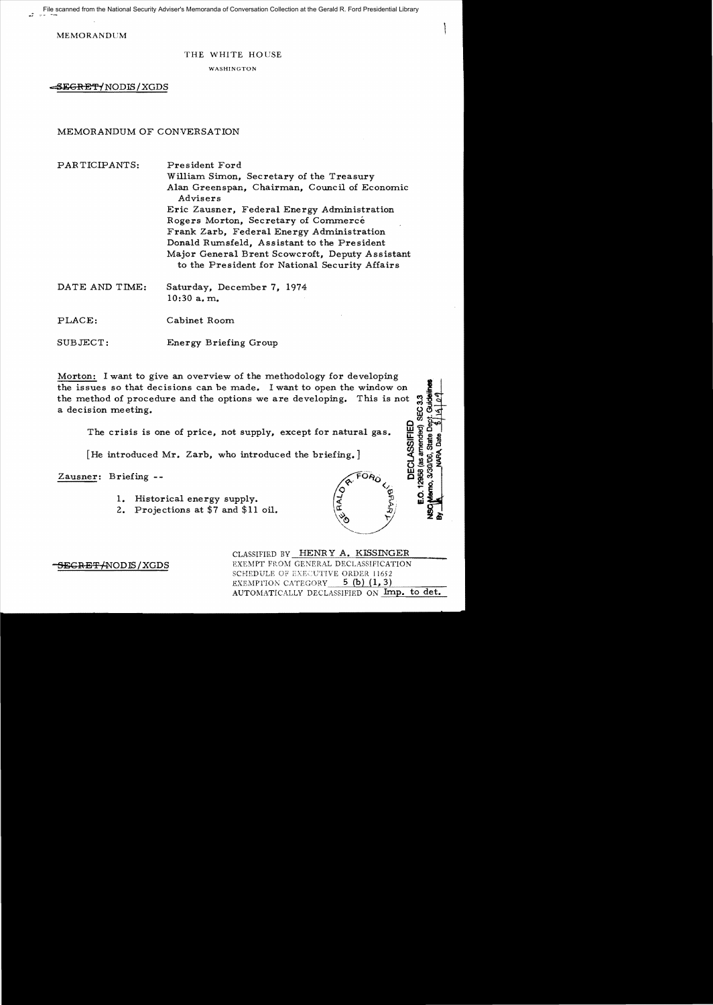File scanned from the National Security Adviser's Memoranda of Conversation Collection at the Gerald R. Ford Presidential Library

MEMORANDUM

## THE WHITE HOUSE

WASHINGTON

-SEGRE~{NODffi/XGDS

MEMORANDUM OF CONVERSATION

| PARTICIPANTS:  | President Ford<br>William Simon, Secretary of the Treasury<br>Alan Greenspan, Chairman, Council of Economic<br>Advisers<br>Eric Zausner, Federal Energy Administration<br>Rogers Morton, Secretary of Commercé<br>Frank Zarb, Federal Energy Administration<br>Donald Rumsfeld, Assistant to the President<br>Major General Brent Scowcroft, Deputy Assistant<br>to the President for National Security Affairs |
|----------------|-----------------------------------------------------------------------------------------------------------------------------------------------------------------------------------------------------------------------------------------------------------------------------------------------------------------------------------------------------------------------------------------------------------------|
| DATE AND TIME: | Saturday, December 7, 1974<br>$10:30$ a.m.                                                                                                                                                                                                                                                                                                                                                                      |
| PLACE:         | Cabinet Room                                                                                                                                                                                                                                                                                                                                                                                                    |

SUBJECT: Energy Briefing Group

Morton: I want to give an overview of the methodology for developing the issues so that decisions can be made. I want to open the window on the method of procedure and the options we are developing. This is not SEC<sub>33</sub> a decision meeting.

The crisis is one of price, not supply, except for natural gas.

[He introduced Mr. Zarb, who introduced the briefing.]

Zausner: Briefing-

- 1. Historical energy supply.
- 2. Projections at \$7 and \$11 oil.

CLASSIFIED BY HENRY A. KISSINGER SEGRET/NODIS/XGDS EXEMPT FROM GENERAL DECLASSIFICATION SCHEDULE OF EXECUTIVE ORDER 11652 EXEMPTION CATEGORY  $5$  (b) (1,3) AUTOMATICALLY DECLASSIFIED ON Imp. to det.

**DECLASSIFIED** 12958 (as amended) 3/30/00

o<br>"

FORO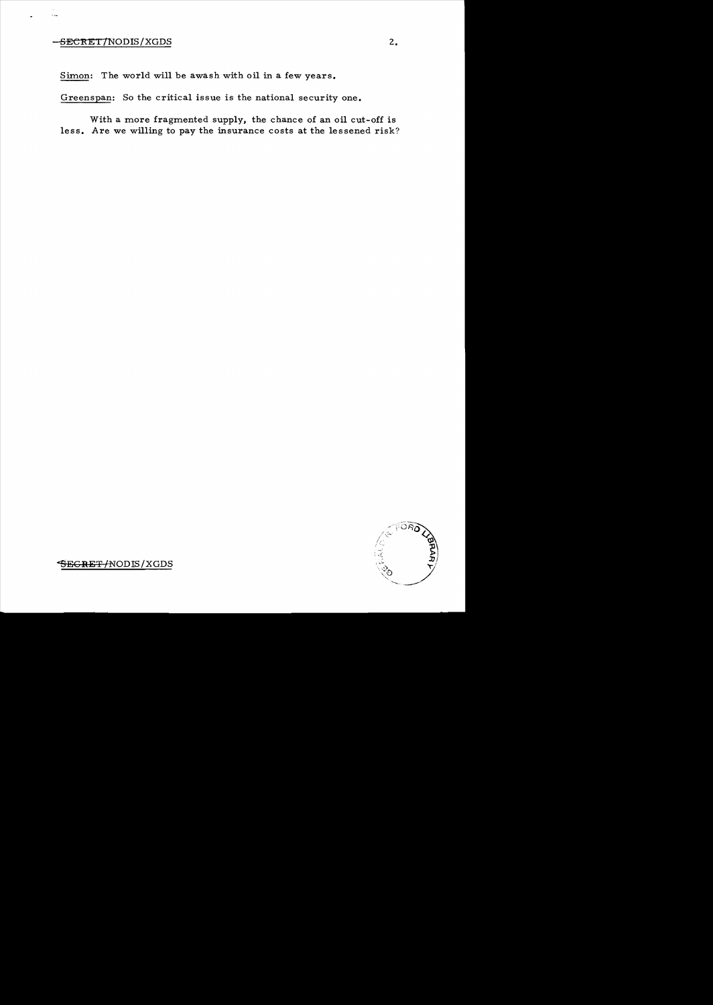## $SECT/ NODIS/XGDS$  2.

 $\ddotsc$ 

Simon: The world will be awash with oil in a few years.

Greenspan: So the critical issue is the national security one.

With a more fragmented supply, the chance of an oil cut-off is less. Are we willing to pay the insurance costs at the lessened risk?



SEGRET/NODIS/XGDS